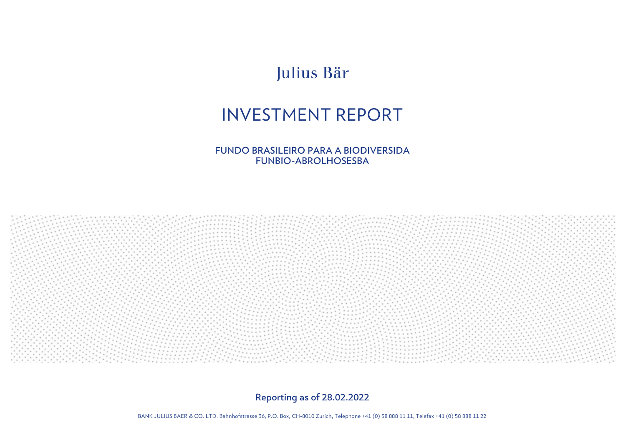### INVESTMENT REPORT

**FUNDO BRASILEIRO PARA A BIODIVERSIDA FUNBIO-ABROLHOSESBA**



**Reporting as of 28.02.2022**

BANK JULIUS BAER & CO. LTD. Bahnhofstrasse 36, P.O. Box, CH-8010 Zurich, Telephone +41 (0) 58 888 11 11, Telefax +41 (0) 58 888 11 22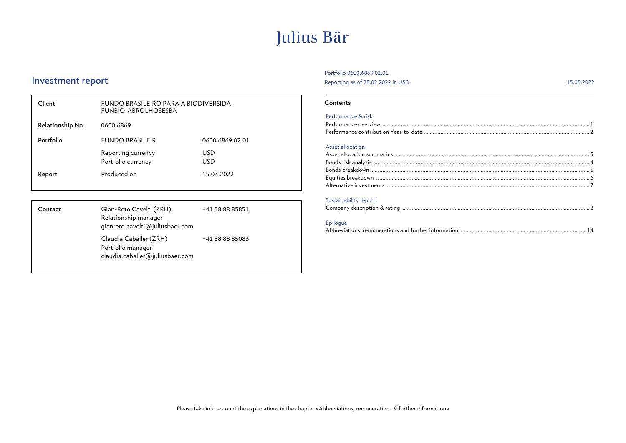### **Investment report** 15.03.2022<br> **Investment report** 15.03.2022

| Client           | FUNDO BRASILEIRO PARA A BIODIVERSIDA<br>FUNBIO-ABROLHOSESBA |            |  |  |
|------------------|-------------------------------------------------------------|------------|--|--|
| Relationship No. | 0600.6869                                                   |            |  |  |
| Portfolio        | <b>FUNDO BRASILEIR</b><br>0600.6869 02.01                   |            |  |  |
|                  | Reporting currency<br>Portfolio currency                    | USD<br>USD |  |  |
| Report           | Produced on                                                 | 15.03.2022 |  |  |

| Contact | Gian-Reto Cavelti (ZRH)<br>Relationship manager<br>gianreto.cavelti@juliusbaer.com | +41 58 88 85851 |
|---------|------------------------------------------------------------------------------------|-----------------|
|         | Claudia Caballer (ZRH)<br>Portfolio manager<br>claudia.caballer@juliusbaer.com     | +41 58 88 85083 |

#### Portfolio 0600.6869 02.01 Reporting as of 28.02.2022 in USD

#### **Contents**

| Performance & risk |  |
|--------------------|--|
|                    |  |
|                    |  |

#### Asset allocation

#### Sustainability report

|--|--|

#### Epilogue

|--|--|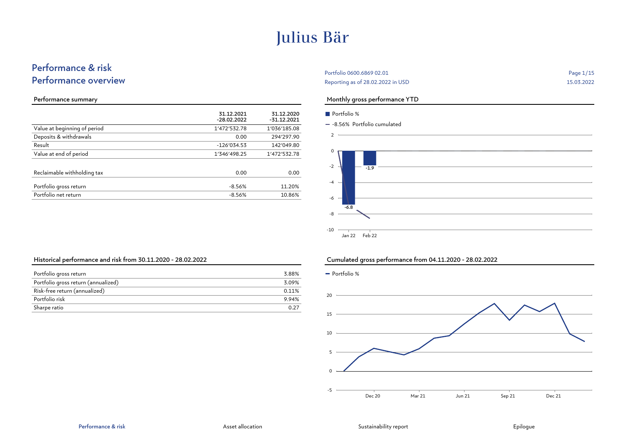### **Performance & risk Performance overview**

#### **Performance summary**

|                              | 31.12.2021<br>$-28.02.2022$ | 31.12.2020<br>$-31.12.2021$ |
|------------------------------|-----------------------------|-----------------------------|
| Value at beginning of period | 1'472'532.78                | 1'036'185.08                |
| Deposits & withdrawals       | 0.00                        | 294'297.90                  |
| Result                       | $-126'034.53$               | 142'049.80                  |
| Value at end of period       | 1'346'498.25                | 1'472'532.78                |
| Reclaimable withholding tax  | 0.00                        | 0.00                        |
| Portfolio gross return       | $-8.56%$                    | 11.20%                      |
| Portfolio net return         | $-8.56%$                    | 10.86%                      |

| Portfolio 0600.6869 02.01         | Page $1/15$ |
|-----------------------------------|-------------|
| Reporting as of 28.02.2022 in USD | 15.03.2022  |

#### **Monthly gross performance YTD**

**Portfolio %** 

- Portfolio %

-8.56% Portfolio cumulated



#### **Historical performance and risk from 30.11.2020 - 28.02.2022**

| Portfolio gross return              | 3.88% |
|-------------------------------------|-------|
| Portfolio gross return (annualized) | 3.09% |
| Risk-free return (annualized)       | 0.11% |
| Portfolio risk                      | 9.94% |
| Sharpe ratio                        | 0.27  |

#### **Cumulated gross performance from 04.11.2020 - 28.02.2022**

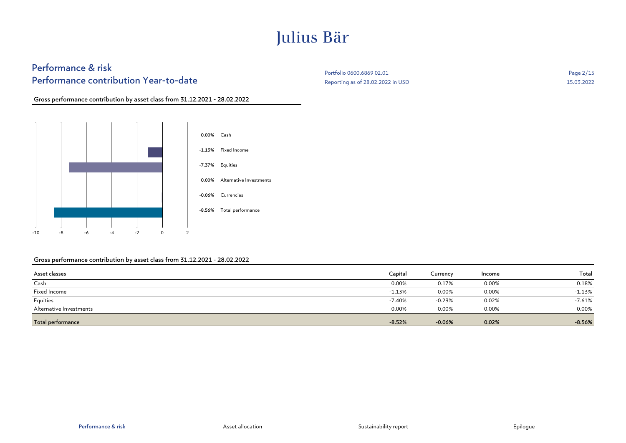### **Performance & risk Performance contribution Year-to-date**

**Gross performance contribution by asset class from 31.12.2021 - 28.02.2022**



Portfolio 0600.6869 02.01 Reporting as of 28.02.2022 in USD

Page 2/15 15.03.2022

# **-8.56%** Total performance Alternative Investments

#### **Gross performance contribution by asset class from 31.12.2021 - 28.02.2022**

| Asset classes           | Capital  | Currency | Income | Total    |
|-------------------------|----------|----------|--------|----------|
| Cash                    | 0.00%    | 0.17%    | 0.00%  | 0.18%    |
| Fixed Income            | $-1.13%$ | 0.00%    | 0.00%  | $-1.13%$ |
| Equities                | -7.40%   | $-0.23%$ | 0.02%  | $-7.61%$ |
| Alternative Investments | 0.00%    | 0.00%    | 0.00%  | 0.00%    |
| Total performance       | $-8.52%$ | $-0.06%$ | 0.02%  | $-8.56%$ |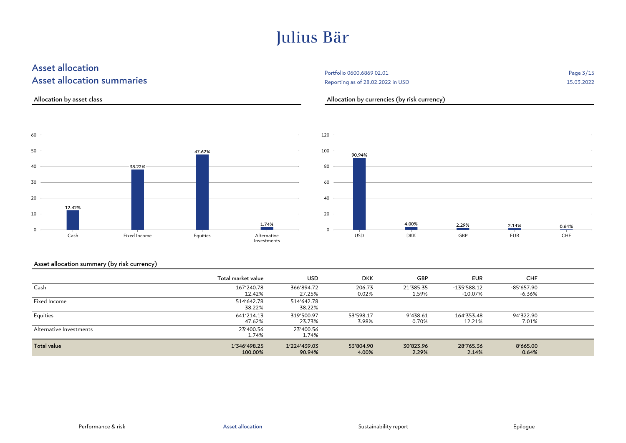### **Asset allocation Asset allocation summaries**

**Allocation by asset class**





**Allocation by currencies (by risk currency)**



#### **Asset allocation summary (by risk currency)**

|                         | Total market value      | <b>USD</b>             | <b>DKK</b>         | GBP                | <b>EUR</b>             | <b>CHF</b>           |  |
|-------------------------|-------------------------|------------------------|--------------------|--------------------|------------------------|----------------------|--|
| Cash                    | 167'240.78<br>12.42%    | 366'894.72<br>27.25%   | 206.73<br>0.02%    | 21'385.35<br>1.59% | -135'588.12<br>-10.07% | -85'657.90<br>-6.36% |  |
| Fixed Income            | 514'642.78<br>38.22%    | 514'642.78<br>38.22%   |                    |                    |                        |                      |  |
| Equities                | 641'214.13<br>47.62%    | 319'500.97<br>23.73%   | 53'598.17<br>3.98% | 9'438.61<br>0.70%  | 164'353.48<br>12.21%   | 94'322.90<br>7.01%   |  |
| Alternative Investments | 23'400.56<br>1.74%      | 23'400.56<br>1.74%     |                    |                    |                        |                      |  |
| <b>Total value</b>      | 1'346'498.25<br>100.00% | 1'224'439.03<br>90.94% | 53'804.90<br>4.00% | 30'823.96<br>2.29% | 28'765.36<br>2.14%     | 8'665.00<br>0.64%    |  |

Page 3/15 15.03.2022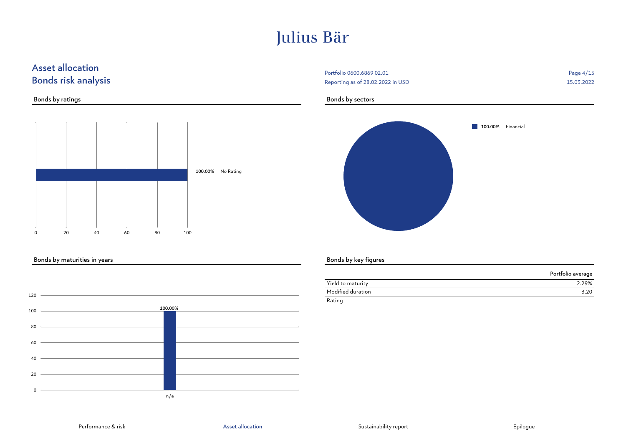### **Asset allocation Bonds risk analysis**

**Bonds by ratings**



**Bonds by maturities in years**



Portfolio 0600.6869 02.01 Reporting as of 28.02.2022 in USD

Page 4/15 15.03.2022

#### **Bonds by sectors**



#### **Bonds by key figures**

|                   | Portfolio average |
|-------------------|-------------------|
| Yield to maturity | 2.29%             |
| Modified duration | 3.20              |
| Rating            |                   |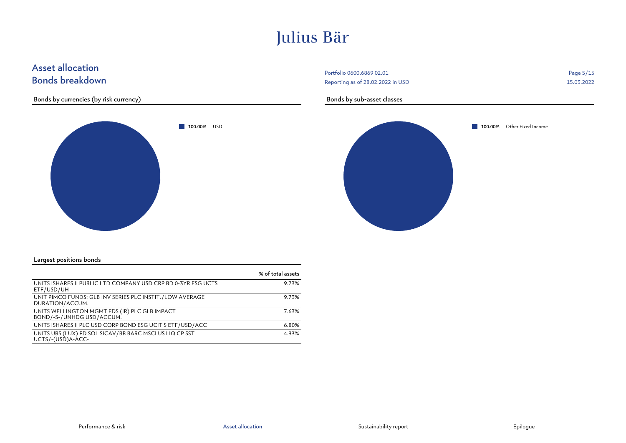### **Asset allocation Bonds breakdown**

**Bonds by currencies (by risk currency)**



### Portfolio 0600.6869 02.01 Reporting as of 28.02.2022 in USD

Page 5/15 15.03.2022

#### **Bonds by sub-asset classes**



#### **Largest positions bonds**

|                                                                              | % of total assets |
|------------------------------------------------------------------------------|-------------------|
| UNITS ISHARES II PUBLIC LTD COMPANY USD CRP BD 0-3YR ESG UCTS<br>ETF/USD/UH  | 9.73%             |
| UNIT PIMCO FUNDS: GLB INV SERIES PLC INSTIT./LOW AVERAGE<br>DURATION/ACCUM.  | 9.73%             |
| UNITS WELLINGTON MGMT FDS (IR) PLC GLB IMPACT<br>BOND/-S-/UNHDG USD/ACCUM.   | 7.63%             |
| UNITS ISHARES II PLC USD CORP BOND ESG UCIT S ETF/USD/ACC                    | 6.80%             |
| UNITS UBS (LUX) FD SOL SICAV/BB BARC MSCI US LIQ CP SST<br>UCTS/-(USD)A-ACC- | 4.33%             |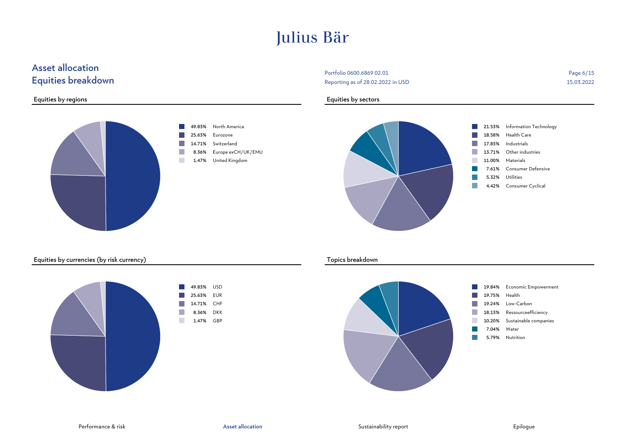### **Asset allocation Equities breakdown**

#### **Equities by regions**



Portfolio 0600.6869 02.01 Reporting as of 28.02.2022 in USD

Page 6/15 15.03.2022

#### **Equities by sectors**



**Equities by currencies (by risk currency)**





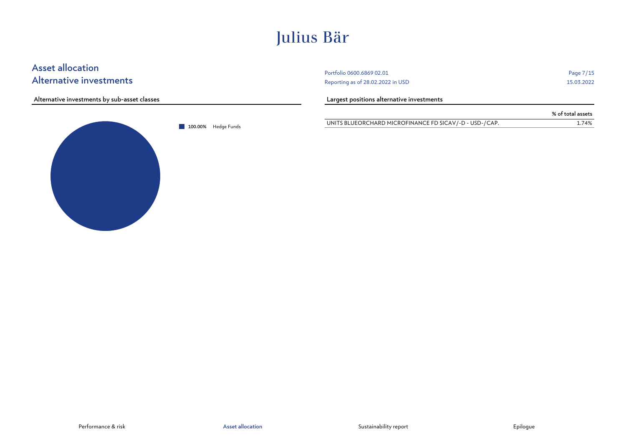### **Asset allocation Alternative investments**

**Alternative investments by sub-asset classes**



#### **Largest positions alternative investments**

|                                                        | % of total assets |
|--------------------------------------------------------|-------------------|
| UNITS BLUEORCHARD MICROFINANCE FD SICAV/-D - USD-/CAP. | 1.74%             |

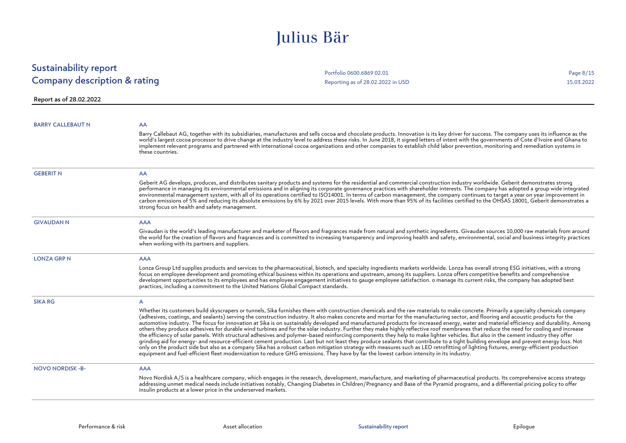#### **Sustainability report Company description & rating** Portfolio 0600.6869 02.01 Reporting as of 28.02.2022 in USD **Report as of 28.02.2022 BARRY CALLEBAUT N AA** Barry Callebaut AG, together with its subsidiaries, manufactures and sells cocoa and chocolate products. Innovation is its key driver for success. The company uses its influence as the world's largest cocoa processor to drive change at the industry level to address these risks. In June 2018, it signed letters of intent with the governments of Cote d'Ivoire and Ghana to implement relevant programs and partnered with international cocoa organizations and other companies to establish child labor prevention, monitoring and remediation systems in these countries. **GEBERIT N AA** Geberit AG develops, produces, and distributes sanitary products and systems for the residential and commercial construction industry worldwide. Geberit demonstrates strong performance in managing its environmental emissions and in aligning its corporate governance practices with shareholder interests. The company has adopted a group wide integrated environmental management system, with all of its operations certified to ISO14001. In terms of carbon management, the company continues to target a year on year improvement in carbon emissions of 5% and reducing its absolute emissions by 6% by 2021 over 2015 levels. With more than 95% of its facilities certified to the OHSAS 18001, Geberit demonstrates a strong focus on health and safety management. **GIVAUDAN N AAA** Givaudan is the world's leading manufacturer and marketer of flavors and fragrances made from natural and synthetic ingredients. Givaudan sources 10,000 raw materials from around the world for the creation of flavors and fragrances and is committed to increasing transparency and improving health and safety, environmental, social and business integrity practices when working with its partners and suppliers. **LONZA GRP N AAA** Lonza Group Ltd supplies products and services to the pharmaceutical, biotech, and specialty ingredients markets worldwide. Lonza has overall strong ESG initiatives, with a strong focus on employee development and promoting ethical business within its operations and upstream, among its suppliers. Lonza offers competitive benefits and comprehensive development opportunities to its employees and has employee engagement initiatives to gauge employee satisfaction. o manage its current risks, the company has adopted best practices, including a commitment to the United Nations Global Compact standards. **SIKA RG A** Whether its customers build skyscrapers or tunnels, Sika furnishes them with construction chemicals and the raw materials to make concrete. Primarily a specialty chemicals company (adhesives, coatings, and sealants) serving the construction industry. It also makes concrete and mortar for the manufacturing sector, and flooring and acoustic products for the automotive industry. The focus for innovation at Sika is on sustainably developed and manufactured products for increased energy, water and material efficiency and durability. Among others they produce adhesives for durable wind turbines and for the solar industry. Further they make highly reflective roof membranes that reduce the need for cooling and increase the efficiency of solar panels. With structural adhesives and polymer-based reinforcing components they help to make lighter vehicles. But also in the cement industry they offer grinding aid for energy- and resource-efficient cement production. Last but not least they produce sealants that contribute to a tight building envelope and prevent energy loss. Not only on the product side but also as a company Sika has a robust carbon mitigation strategy with measures such as LED retrofitting of lighting fixtures, energy-efficient production equipment and fuel-efficient fleet modernization to reduce GHG emissions. They have by far the lowest carbon intensity in its industry. **NOVO NORDISK -B- AAA** Novo Nordisk A/S is a healthcare company, which engages in the research, development, manufacture, and marketing of pharmaceutical products. Its comprehensive access strategy addressing unmet medical needs include initiatives notably, Changing Diabetes in Children/Pregnancy and Base of the Pyramid programs, and a differential pricing policy to offer insulin products at a lower price in the underserved markets. Page 8/15 15.03.2022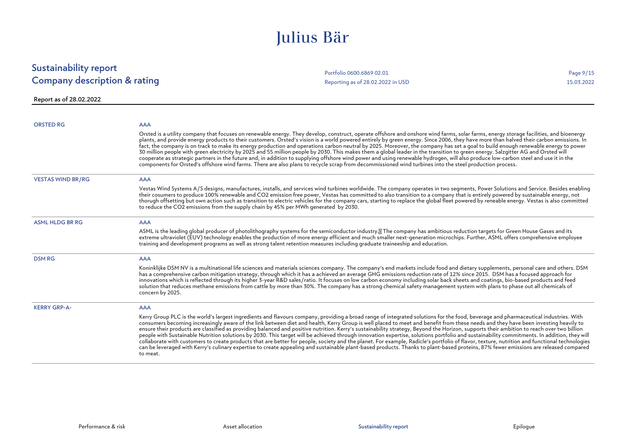| Sustainability report                   |                                                                                                                                                                                                                                                                                                                                                                                                                                                                                                                                                                                                                                                                                                                                                                                                                                                                                                                                                                                                                                                                                                                                                                                        |
|-----------------------------------------|----------------------------------------------------------------------------------------------------------------------------------------------------------------------------------------------------------------------------------------------------------------------------------------------------------------------------------------------------------------------------------------------------------------------------------------------------------------------------------------------------------------------------------------------------------------------------------------------------------------------------------------------------------------------------------------------------------------------------------------------------------------------------------------------------------------------------------------------------------------------------------------------------------------------------------------------------------------------------------------------------------------------------------------------------------------------------------------------------------------------------------------------------------------------------------------|
| <b>Company description &amp; rating</b> | Portfolio 0600.6869 02.01<br>Page 9/15<br>Reporting as of 28.02.2022 in USD<br>15.03.2022                                                                                                                                                                                                                                                                                                                                                                                                                                                                                                                                                                                                                                                                                                                                                                                                                                                                                                                                                                                                                                                                                              |
| Report as of 28.02.2022                 |                                                                                                                                                                                                                                                                                                                                                                                                                                                                                                                                                                                                                                                                                                                                                                                                                                                                                                                                                                                                                                                                                                                                                                                        |
| <b>ORSTED RG</b>                        | <b>AAA</b><br>Orsted is a utility company that focuses on renewable energy. They develop, construct, operate offshore and onshore wind farms, solar farms, energy storage facilities, and bioenergy<br>plants, and provide energy products to their customers. Orsted's vision is a world powered entirely by green energy. Since 2006, they have more than halved their carbon emissions. In<br>fact, the company is on track to make its energy production and operations carbon neutral by 2025. Moreover, the company has set a goal to build enough renewable energy to power<br>30 million people with green electricity by 2025 and 55 million people by 2030. This makes them a global leader in the transition to green energy. Salzgitter AG and Orsted will<br>cooperate as strategic partners in the future and, in addition to supplying offshore wind power and using renewable hydrogen, will also produce low-carbon steel and use it in the<br>components for Orsted's offshore wind farms. There are also plans to recycle scrap from decommissioned wind turbines into the steel production process.                                                                |
| <b>VESTAS WIND BR/RG</b>                | <b>AAA</b><br>Vestas Wind Systems A/S designs, manufactures, installs, and services wind turbines worldwide. The company operates in two segments, Power Solutions and Service. Besides enabling<br>their cosumers to produce 100% renewable and CO2 emission free power, Vestas has committed to also transition to a company that is entirely powered by sustainable energy, not<br>thorugh offsetting but own action such as transition to electric vehicles for the company cars, starting to replace the global fleet powered by reneable energy. Vestas is also committed<br>to reduce the CO2 emissions from the supply chain by 45% per MWh generated by 2030.                                                                                                                                                                                                                                                                                                                                                                                                                                                                                                                 |
| <b>ASML HLDG BR RG</b>                  | <b>AAA</b><br>ASML is the leading global producer of photolithography systems for the semiconductor industry. The company has ambitious reduction targets for Green House Gases and its<br>extreme ultraviolet (EUV) technology enables the production of more energy efficient and much smaller next-generation microchips. Further, ASML offers comprehensive employee<br>training and development programs as well as strong talent retention measures including graduate traineeship and education.                                                                                                                                                                                                                                                                                                                                                                                                                                                                                                                                                                                                                                                                                |
| <b>DSM RG</b>                           | <b>AAA</b><br>Koninklijke DSM NV is a multinational life sciences and materials sciences company. The company's end markets include food and dietary supplements, personal care and others. DSM<br>has a comprehensive carbon mitigation strategy, through which it has a achieved an average GHG emissions reduction rate of 12% since 2015. DSM has a focused approach for<br>innovations which is reflected through its higher 3-year R&D sales/ratio. It focuses on low carbon economy including solar back sheets and coatings, bio-based products and feed<br>solution that reduces methane emissions from cattle by more than 30%. The company has a strong chemical safety management system with plans to phase out all chemicals of<br>concern by 2025.                                                                                                                                                                                                                                                                                                                                                                                                                      |
| <b>KERRY GRP-A-</b>                     | <b>AAA</b><br>Kerry Group PLC is the world's largest ingredients and flavours company, providing a broad range of integrated solutions for the food, beverage and pharmaceutical industries. With<br>consumers becoming increasingly aware of the link between diet and health, Kerry Group is well placed to meet and benefit from these needs and they have been investing heavily to<br>ensure their products are classified as providing balanced and positive nutrition. Kerry's sustainability strategy, Beyond the Horizon, supports their ambition to reach over two billion<br>people with Sustainable Nutrition solutions by 2030. This target will be achieved through innovation expertise, solutions portfolio and sustainability commitments. In addition, they will<br>collaborate with customers to create products that are better for people, society and the planet. For example, Radicle's portfolio of flavor, texture, nutrition and functional technologies<br>can be leveraged with Kerry's culinary expertise to create appealing and sustainable plant-based products. Thanks to plant-based proteins, 87% fewer emissions are released compared<br>to meat. |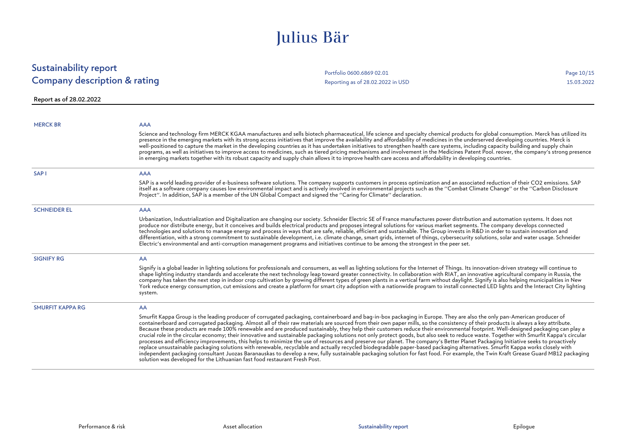| Sustainability report                   |                                                                                                                  | Portfolio 0600.6869 02.01                                                                                                                                                                                                                                                                                                                                                                                                                                                                                                                                                                                                                                                                                                                                                                                                                                                                                                                                                                                                                                                                                                                                                                                                                                                                               | Page 10/15 |
|-----------------------------------------|------------------------------------------------------------------------------------------------------------------|---------------------------------------------------------------------------------------------------------------------------------------------------------------------------------------------------------------------------------------------------------------------------------------------------------------------------------------------------------------------------------------------------------------------------------------------------------------------------------------------------------------------------------------------------------------------------------------------------------------------------------------------------------------------------------------------------------------------------------------------------------------------------------------------------------------------------------------------------------------------------------------------------------------------------------------------------------------------------------------------------------------------------------------------------------------------------------------------------------------------------------------------------------------------------------------------------------------------------------------------------------------------------------------------------------|------------|
| <b>Company description &amp; rating</b> |                                                                                                                  | Reporting as of 28.02.2022 in USD                                                                                                                                                                                                                                                                                                                                                                                                                                                                                                                                                                                                                                                                                                                                                                                                                                                                                                                                                                                                                                                                                                                                                                                                                                                                       | 15.03.2022 |
| Report as of 28.02.2022                 |                                                                                                                  |                                                                                                                                                                                                                                                                                                                                                                                                                                                                                                                                                                                                                                                                                                                                                                                                                                                                                                                                                                                                                                                                                                                                                                                                                                                                                                         |            |
| <b>MERCK BR</b>                         | <b>AAA</b>                                                                                                       |                                                                                                                                                                                                                                                                                                                                                                                                                                                                                                                                                                                                                                                                                                                                                                                                                                                                                                                                                                                                                                                                                                                                                                                                                                                                                                         |            |
|                                         |                                                                                                                  | Science and technology firm MERCK KGAA manufactures and sells biotech pharmaceutical, life science and specialty chemical products for global consumption. Merck has utilized its<br>presence in the emerging markets with its strong access initiatives that improve the availability and affordability of medicines in the underserved developing countries. Merck is<br>well-positioned to capture the market in the developing countries as it has undertaken initiatives to strengthen health care systems, including capacity building and supply chain<br>programs, as well as initiatives to improve access to medicines, such as tiered pricing mechanisms and involvement in the Medicines Patent Pool. reover, the company's strong presence<br>in emerging markets together with its robust capacity and supply chain allows it to improve health care access and affordability in developing countries.                                                                                                                                                                                                                                                                                                                                                                                    |            |
| <b>SAPI</b>                             | <b>AAA</b>                                                                                                       |                                                                                                                                                                                                                                                                                                                                                                                                                                                                                                                                                                                                                                                                                                                                                                                                                                                                                                                                                                                                                                                                                                                                                                                                                                                                                                         |            |
|                                         | Project". In addition, SAP is a member of the UN Global Compact and signed the "Caring for Climate" declaration. | SAP is a world leading provider of e-business software solutions. The company supports customers in process optimization and an associated reduction of their CO2 emissions. SAP<br>itself as a software company causes low environmental impact and is actively involved in environmental projects such as the "Combat Climate Change" or the "Carbon Disclosure                                                                                                                                                                                                                                                                                                                                                                                                                                                                                                                                                                                                                                                                                                                                                                                                                                                                                                                                       |            |
| <b>SCHNEIDER EL</b>                     | <b>AAA</b>                                                                                                       |                                                                                                                                                                                                                                                                                                                                                                                                                                                                                                                                                                                                                                                                                                                                                                                                                                                                                                                                                                                                                                                                                                                                                                                                                                                                                                         |            |
|                                         |                                                                                                                  | Urbanization, Industrialization and Digitalization are changing our society. Schneider Electric SE of France manufactures power distribution and automation systems. It does not<br>produce nor distribute energy, but it conceives and builds electrical products and proposes integral solutions for various market segments. The company develops connected<br>technologies and solutions to manage energy and process in ways that are safe, reliable, efficient and sustainable. The Group invests in R&D in order to sustain innovation and<br>differentiation, with a strong commitment to sustainable development, i.e. climate change, smart grids, internet of things, cybersecurity solutions, solar and water usage. Schneider<br>Electric's environmental and anti-corruption management programs and initiatives continue to be among the strongest in the peer set.                                                                                                                                                                                                                                                                                                                                                                                                                      |            |
| <b>SIGNIFY RG</b>                       | AA                                                                                                               |                                                                                                                                                                                                                                                                                                                                                                                                                                                                                                                                                                                                                                                                                                                                                                                                                                                                                                                                                                                                                                                                                                                                                                                                                                                                                                         |            |
|                                         | system.                                                                                                          | Signify is a global leader in lighting solutions for professionals and consumers, as well as lighting solutions for the Internet of Things. Its innovation-driven strategy will continue to<br>shape lighting industry standards and accelerate the next technology leap toward greater connectivity. In collaboration with RIAT, an innovative agricultural company in Russia, the<br>company has taken the next step in indoor crop cultivation by growing different types of green plants in a vertical farm without daylight. Signify is also helping municipalities in New<br>York reduce energy consumption, cut emissions and create a platform for smart city adoption with a nationwide program to install connected LED lights and the Interact City lighting                                                                                                                                                                                                                                                                                                                                                                                                                                                                                                                                 |            |
| <b>SMURFIT KAPPA RG</b>                 | <b>AA</b>                                                                                                        |                                                                                                                                                                                                                                                                                                                                                                                                                                                                                                                                                                                                                                                                                                                                                                                                                                                                                                                                                                                                                                                                                                                                                                                                                                                                                                         |            |
|                                         | solution was developed for the Lithuanian fast food restaurant Fresh Post.                                       | Smurfit Kappa Group is the leading producer of corrugated packaging, containerboard and bag-in-box packaging in Europe. They are also the only pan-American producer of<br>containerboard and corrugated packaging. Almost all of their raw materials are sourced from their own paper mills, so the consistency of their products is always a key attribute.<br>Because these products are made 100% renewable and are produced sustainably, they help their customers reduce their environmental footprint. Well-designed packaging can play a<br>crucial role in the circular economy; their innovative and sustainable packaging solutions not only protect goods, but also seek to reduce waste. Together with Smurfit Kappa's circular<br>processes and efficiency improvements, this helps to minimize the use of resources and preserve our planet. The company's Better Planet Packaging Initiative seeks to proactively<br>replace unsustainable packaging solutions with renewable, recyclable and actually recycled biodegradable paper-based packaging alternatives. Smurfit Kappa works closely with<br>independent packaging consultant Juozas Baranauskas to develop a new, fully sustainable packaging solution for fast food. For example, the Twin Kraft Grease Guard MB12 packaging |            |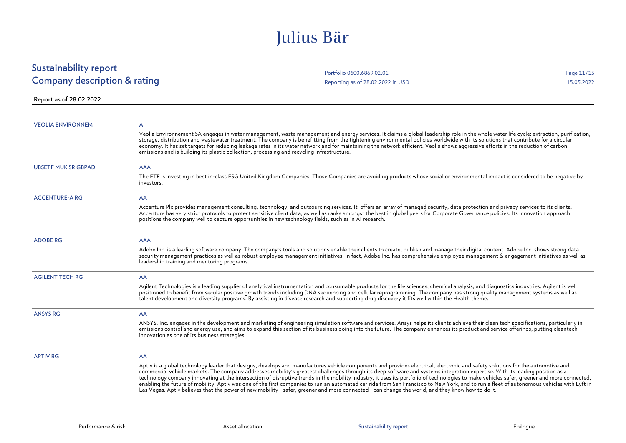| Sustainability report                   |                                                                                                       | Portfolio 0600.6869 02.01                                                                                                                                                                                                                                                                                                                                                                                                                                                                                                                                                                                                                                                                                                                                                                                                                                                                                     | Page 11/15 |
|-----------------------------------------|-------------------------------------------------------------------------------------------------------|---------------------------------------------------------------------------------------------------------------------------------------------------------------------------------------------------------------------------------------------------------------------------------------------------------------------------------------------------------------------------------------------------------------------------------------------------------------------------------------------------------------------------------------------------------------------------------------------------------------------------------------------------------------------------------------------------------------------------------------------------------------------------------------------------------------------------------------------------------------------------------------------------------------|------------|
| <b>Company description &amp; rating</b> |                                                                                                       | Reporting as of 28.02.2022 in USD                                                                                                                                                                                                                                                                                                                                                                                                                                                                                                                                                                                                                                                                                                                                                                                                                                                                             | 15.03.2022 |
| Report as of 28.02.2022                 |                                                                                                       |                                                                                                                                                                                                                                                                                                                                                                                                                                                                                                                                                                                                                                                                                                                                                                                                                                                                                                               |            |
| <b>VEOLIA ENVIRONNEM</b>                | A                                                                                                     |                                                                                                                                                                                                                                                                                                                                                                                                                                                                                                                                                                                                                                                                                                                                                                                                                                                                                                               |            |
|                                         | emissions and is building its plastic collection, processing and recycling infrastructure.            | Veolia Environnement SA engages in water management, waste management and energy services. It claims a global leadership role in the whole water life cycle: extraction, purification,<br>storage, distribution and wastewater treatment. The company is benefitting from the tightening environmental policies worldwide with its solutions that contribute for a circular<br>economy. It has set targets for reducing leakage rates in its water network and for maintaining the network efficient. Veolia shows aggressive efforts in the reduction of carbon                                                                                                                                                                                                                                                                                                                                              |            |
| <b>UBSETF MUK SR GBPAD</b>              | <b>AAA</b>                                                                                            |                                                                                                                                                                                                                                                                                                                                                                                                                                                                                                                                                                                                                                                                                                                                                                                                                                                                                                               |            |
|                                         | investors.                                                                                            | The ETF is investing in best in-class ESG United Kingdom Companies. Those Companies are avoiding products whose social or environmental impact is considered to be negative by                                                                                                                                                                                                                                                                                                                                                                                                                                                                                                                                                                                                                                                                                                                                |            |
| <b>ACCENTURE-A RG</b>                   | AA                                                                                                    |                                                                                                                                                                                                                                                                                                                                                                                                                                                                                                                                                                                                                                                                                                                                                                                                                                                                                                               |            |
|                                         | positions the company well to capture opportunities in new technology fields, such as in AI research. | Accenture Plc provides management consulting, technology, and outsourcing services. It offers an array of managed security, data protection and privacy services to its clients.<br>Accenture has very strict protocols to protect sensitive client data, as well as ranks amongst the best in global peers for Corporate Governance policies. Its innovation approach                                                                                                                                                                                                                                                                                                                                                                                                                                                                                                                                        |            |
| <b>ADOBE RG</b>                         | <b>AAA</b>                                                                                            |                                                                                                                                                                                                                                                                                                                                                                                                                                                                                                                                                                                                                                                                                                                                                                                                                                                                                                               |            |
|                                         | leadership training and mentoring programs.                                                           | Adobe Inc. is a leading software company. The company's tools and solutions enable their clients to create, publish and manage their digital content. Adobe Inc. shows strong data<br>security management practices as well as robust employee management initiatives. In fact, Adobe Inc. has comprehensive employee management & engagement initiatives as well as                                                                                                                                                                                                                                                                                                                                                                                                                                                                                                                                          |            |
| <b>AGILENT TECH RG</b>                  | AA                                                                                                    |                                                                                                                                                                                                                                                                                                                                                                                                                                                                                                                                                                                                                                                                                                                                                                                                                                                                                                               |            |
|                                         |                                                                                                       | Agilent Technologies is a leading supplier of analytical instrumentation and consumable products for the life sciences, chemical analysis, and diagnostics industries. Agilent is well<br>positioned to benefit from secular positive growth trends including DNA sequencing and cellular reprogramming. The company has strong quality management systems as well as<br>talent development and diversity programs. By assisting in disease research and supporting drug discovery it fits well within the Health theme.                                                                                                                                                                                                                                                                                                                                                                                      |            |
| <b>ANSYS RG</b>                         | AA                                                                                                    |                                                                                                                                                                                                                                                                                                                                                                                                                                                                                                                                                                                                                                                                                                                                                                                                                                                                                                               |            |
|                                         | innovation as one of its business strategies.                                                         | ANSYS, Inc. engages in the development and marketing of engineering simulation software and services. Ansys helps its clients achieve their clean tech specifications, particularly in<br>emissions control and energy use, and aims to expand this section of its business going into the future. The company enhances its product and service offerings, putting cleantech                                                                                                                                                                                                                                                                                                                                                                                                                                                                                                                                  |            |
| <b>APTIV RG</b>                         | AA                                                                                                    |                                                                                                                                                                                                                                                                                                                                                                                                                                                                                                                                                                                                                                                                                                                                                                                                                                                                                                               |            |
|                                         |                                                                                                       | Aptiv is a global technology leader that designs, develops and manufactures vehicle components and provides electrical, electronic and safety solutions for the automotive and<br>commercial vehicle markets. The company addresses mobility's greatest challenges through its deep software and systems integration expertise. With its leading position as a<br>technology company innovating at the intersection of disruptive trends in the mobility industry, it uses its portfolio of technologies to make vehicles safer, greener and more connected,<br>enabling the future of mobility. Aptiv was one of the first companies to run an automated car ride from San Francisco to New York, and to run a fleet of autonomous vehicles with Lyft in<br>Las Vegas. Aptiv believes that the power of new mobility - safer, greener and more connected - can change the world, and they know how to do it. |            |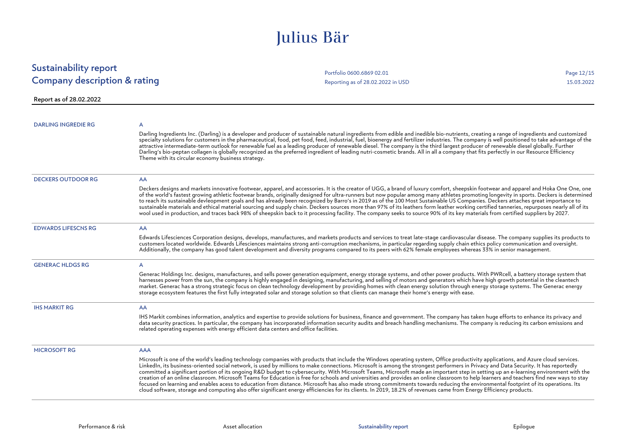| Sustainability report<br><b>Company description &amp; rating</b> |                                                                                      | Portfolio 0600.6869 02.01                                                                                                                                                                                                                                                                                                                                                                                                                                                                                                                                                                                                                                                                                                                                                                                                                                                                                                                                                                                                                                                                                              | Page 12/15 |
|------------------------------------------------------------------|--------------------------------------------------------------------------------------|------------------------------------------------------------------------------------------------------------------------------------------------------------------------------------------------------------------------------------------------------------------------------------------------------------------------------------------------------------------------------------------------------------------------------------------------------------------------------------------------------------------------------------------------------------------------------------------------------------------------------------------------------------------------------------------------------------------------------------------------------------------------------------------------------------------------------------------------------------------------------------------------------------------------------------------------------------------------------------------------------------------------------------------------------------------------------------------------------------------------|------------|
|                                                                  |                                                                                      | Reporting as of 28.02.2022 in USD                                                                                                                                                                                                                                                                                                                                                                                                                                                                                                                                                                                                                                                                                                                                                                                                                                                                                                                                                                                                                                                                                      | 15.03.2022 |
| Report as of 28.02.2022                                          |                                                                                      |                                                                                                                                                                                                                                                                                                                                                                                                                                                                                                                                                                                                                                                                                                                                                                                                                                                                                                                                                                                                                                                                                                                        |            |
| <b>DARLING INGREDIE RG</b>                                       | A                                                                                    |                                                                                                                                                                                                                                                                                                                                                                                                                                                                                                                                                                                                                                                                                                                                                                                                                                                                                                                                                                                                                                                                                                                        |            |
|                                                                  | Theme with its circular economy business strategy.                                   | Darling Ingredients Inc. (Darling) is a developer and producer of sustainable natural ingredients from edible and inedible bio-nutrients, creating a range of ingredients and customized<br>specialty solutions for customers in the pharmaceutical, food, pet food, feed, industrial, fuel, bioenergy and fertilizer industries. The company is well positioned to take advantage of the<br>attractive intermediate-term outlook for renewable fuel as a leading producer of renewable diesel. The company is the third largest producer of renewable diesel globally. Further<br>Darling's bio-peptan collagen is globally recognized as the preferred ingredient of leading nutri-cosmetic brands. All in all a company that fits perfectly in our Resource Efficiency                                                                                                                                                                                                                                                                                                                                              |            |
| <b>DECKERS OUTDOOR RG</b>                                        | AA                                                                                   |                                                                                                                                                                                                                                                                                                                                                                                                                                                                                                                                                                                                                                                                                                                                                                                                                                                                                                                                                                                                                                                                                                                        |            |
|                                                                  |                                                                                      | Deckers designs and markets innovative footwear, apparel, and accessories. It is the creator of UGG, a brand of luxury comfort, sheepskin footwear and apparel and Hoka One One, one<br>of the world's fastest growing athletic footwear brands, originally designed for ultra-runners but now popular among many athletes promoting longevity in sports. Deckers is determined<br>to reach its sustainable devleopment goals and has already been recognized by Barro's in 2019 as of the 100 Most Sustainable US Companies. Deckers attaches great importance to<br>sustainable materials and ethical material sourcing and supply chain. Deckers sources more than 97% of its leathers form leather working certified tanneries, repurposes nearly all of its<br>wool used in production, and traces back 98% of sheepskin back to it processing facility. The company seeks to source 90% of its key materials from certified suppliers by 2027.                                                                                                                                                                   |            |
| <b>EDWARDS LIFESCNS RG</b>                                       | AA                                                                                   |                                                                                                                                                                                                                                                                                                                                                                                                                                                                                                                                                                                                                                                                                                                                                                                                                                                                                                                                                                                                                                                                                                                        |            |
|                                                                  |                                                                                      | Edwards Lifesciences Corporation designs, develops, manufactures, and markets products and services to treat late-stage cardiovascular disease. The company supplies its products to<br>customers located worldwide. Edwards Lifesciences maintains strong anti-corruption mechanisms, in particular regarding supply chain ethics policy communication and oversight.<br>Additionally, the company has good talent development and diversity programs compared to its peers with 62% female employees whereas 33% in senior management.                                                                                                                                                                                                                                                                                                                                                                                                                                                                                                                                                                               |            |
| <b>GENERAC HLDGS RG</b>                                          | A                                                                                    |                                                                                                                                                                                                                                                                                                                                                                                                                                                                                                                                                                                                                                                                                                                                                                                                                                                                                                                                                                                                                                                                                                                        |            |
|                                                                  |                                                                                      | Generac Holdings Inc. designs, manufactures, and sells power generation equipment, energy storage systems, and other power products. With PWRcell, a battery storage system that<br>harnesses power from the sun, the company is highly engaged in designing, manufacturing, and selling of motors and generators which have high growth potential in the cleantech<br>market. Generac has a strong strategic focus on clean technology development by providing homes with clean energy solution through energy storage systems. The Generac energy<br>storage ecosystem features the first fully integrated solar and storage solution so that clients can manage their home's energy with ease.                                                                                                                                                                                                                                                                                                                                                                                                                     |            |
| <b>IHS MARKIT RG</b>                                             | AA                                                                                   |                                                                                                                                                                                                                                                                                                                                                                                                                                                                                                                                                                                                                                                                                                                                                                                                                                                                                                                                                                                                                                                                                                                        |            |
|                                                                  | related operating expenses with energy efficient data centers and office facilities. | IHS Markit combines information, analytics and expertise to provide solutions for business, finance and government. The company has taken huge efforts to enhance its privacy and<br>data security practices. In particular, the company has incorporated information security audits and breach handling mechanisms. The company is reducing its carbon emissions and                                                                                                                                                                                                                                                                                                                                                                                                                                                                                                                                                                                                                                                                                                                                                 |            |
| <b>MICROSOFT RG</b>                                              | <b>AAA</b>                                                                           |                                                                                                                                                                                                                                                                                                                                                                                                                                                                                                                                                                                                                                                                                                                                                                                                                                                                                                                                                                                                                                                                                                                        |            |
|                                                                  |                                                                                      | Microsoft is one of the world's leading technology companies with products that include the Windows operating system, Office productivity applications, and Azure cloud services.<br>LinkedIn, its business-oriented social network, is used by millions to make connections. Microsoft is among the strongest performers in Privacy and Data Security. It has reportedly<br>committed a significant portion of its ongoing R&D budget to cybersecurity. With Microsoft Teams, Microsoft made an important step in setting up an e-learning environment with the<br>creation of an online classroom. Microsoft Teams for Education is free for schools and universities and provides an online classroom to help learners and teachers find new ways to stay<br>focused on learning and enables acess to education from distance. Microsoft has also made strong commitments towards reducing the environmental footprint of its operations. Its<br>cloud software, storage and computing also offer significant energy efficiencies for its clients. In 2019, 18.2% of revenues came from Energy Efficiency products. |            |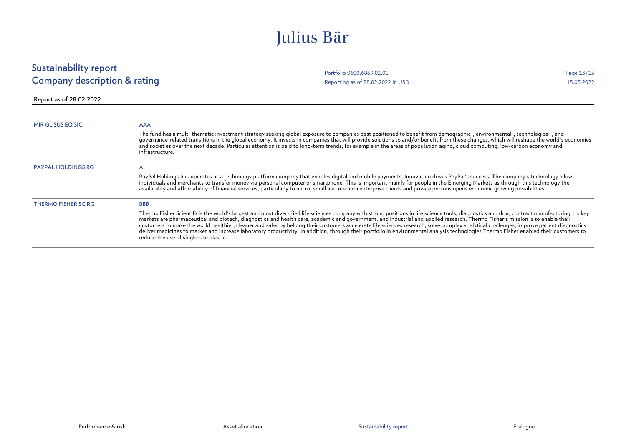| <b>Sustainability report</b><br><b>Company description &amp; rating</b> |                                       | Portfolio 0600.6869 02.01<br>Reporting as of 28.02.2022 in USD                                                                                                                                                                                                                                                                                                                                                                                                                                                                                                                                                                                                                                                                                                     | Page 13/15<br>15.03.2022 |
|-------------------------------------------------------------------------|---------------------------------------|--------------------------------------------------------------------------------------------------------------------------------------------------------------------------------------------------------------------------------------------------------------------------------------------------------------------------------------------------------------------------------------------------------------------------------------------------------------------------------------------------------------------------------------------------------------------------------------------------------------------------------------------------------------------------------------------------------------------------------------------------------------------|--------------------------|
| Report as of 28.02.2022                                                 |                                       |                                                                                                                                                                                                                                                                                                                                                                                                                                                                                                                                                                                                                                                                                                                                                                    |                          |
| MIR GL SUS EQ SIC                                                       | <b>AAA</b>                            |                                                                                                                                                                                                                                                                                                                                                                                                                                                                                                                                                                                                                                                                                                                                                                    |                          |
|                                                                         | infrastructure.                       | The fund has a multi-thematic investment strategy seeking global exposure to companies best positioned to benefit from demographic-, environmental-, technological-, and<br>governance-related transitions in the global economy. It invests in companies that will provide solutions to and/or benefit from these changes, which will reshape the world's economies<br>and societies over the next decade. Particular attention is paid to long-term trends, for example in the areas of population aging, cloud computing, low-carbon economy and                                                                                                                                                                                                                |                          |
| <b>PAYPAL HOLDINGS RG</b>                                               | A                                     |                                                                                                                                                                                                                                                                                                                                                                                                                                                                                                                                                                                                                                                                                                                                                                    |                          |
|                                                                         |                                       | PayPal Holdings Inc. operates as a technology platform company that enables digital and mobile payments. Innovation drives PayPal's success. The company's technology allows<br>individuals and merchants to transfer money via personal computer or smartphone. This is important mainly for people in the Emerging Markets as through this technology the<br>availability and affordability of financial services, particularly to micro, small and medium enterprise clients and private persons opens economic growing possibilities.                                                                                                                                                                                                                          |                          |
| <b>THERMO FISHER SC RG</b>                                              | <b>BBB</b>                            |                                                                                                                                                                                                                                                                                                                                                                                                                                                                                                                                                                                                                                                                                                                                                                    |                          |
|                                                                         | reduce the use of single-use plastic. | Thermo Fisher Scientificis the world's largest and most diversified life sciences company with strong positions in life science tools, diagnostics and drug contract manufacturing. Its key<br>markets are pharmaceutical and biotech, diagnostics and health care, academic and government, and industrial and applied research. Thermo Fisher's mission is to enable their<br>customers to make the world healthier, cleaner and safer by helping their customers accelerate life sciences research, solve complex analytical challenges, improve patient diagnostics,<br>deliver medicines to market and increase laboratory productivity. In addition, through their portfolio in environmental analysis technologies Thermo Fisher enabled their customers to |                          |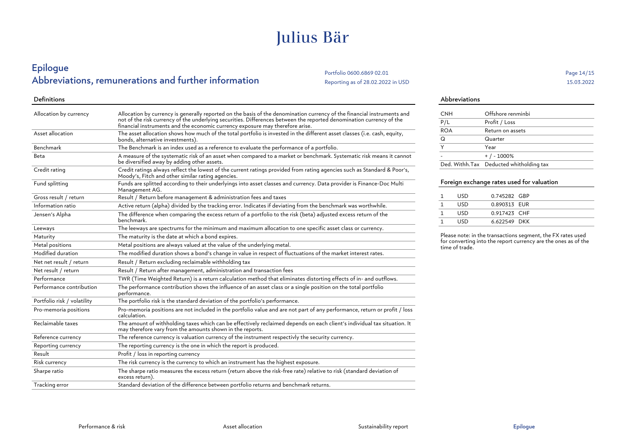### **Epilogue Abbreviations, remunerations and further information**

Portfolio 0600.6869 02.01 Reporting as of 28.02.2022 in USD

#### **Definitions** Allocation by currency Allocation by currency is generally reported on the basis of the denomination currency of the financial instruments and not of the risk currency of the underlying securities. Differences between the reported denomination currency of the financial instruments and the economic currency exposure may therefore arise. Asset allocation The asset allocation shows how much of the total portfolio is invested in the different asset classes (i.e. cash, equity, bonds, alternative investments). Benchmark The Benchmark is an index used as a reference to evaluate the performance of a portfolio. Beta A measure of the systematic risk of an asset when compared to a market or benchmark. Systematic risk means it cannot be diversified away by adding other assets. Credit rating Credit ratings always reflect the lowest of the current ratings provided from rating agencies such as Standard & Poor's, Moody's, Fitch and other similar rating agencies. Fund splitting Funds are splitted according to their underlyings into asset classes and currency. Data provider is Finance-Doc Multi Management AG. Gross result / return Result / Return before management & administration fees and taxes Information ratio Active return (alpha) divided by the tracking error. Indicates if deviating from the benchmark was worthwhile. Jensen's Alpha The difference when comparing the excess return of a portfolio to the risk (beta) adjusted excess return of the benchmark. Leeways The leeways are spectrums for the minimum and maximum allocation to one specific asset class or currency. Maturity **The maturity is the date at which a bond expires.** Metal positions Metal positions are always valued at the value of the underlying metal. Modified duration The modified duration shows a bond's change in value in respect of fluctuations of the market interest rates. Net net result / return Result / Return excluding reclaimable withholding tax Net result / return Result / Return after management, administration and transaction fees Performance TWR (Time Weighted Return) is a return calculation method that eliminates distorting effects of in- and outflows. Performance contribution The performance contribution shows the influence of an asset class or a single position on the total portfolio performance. Portfolio risk / volatility The portfolio risk is the standard deviation of the portfolio's performance. Pro-memoria positions Pro-memoria positions are not included in the portfolio value and are not part of any performance, return or profit / loss calculation. Reclaimable taxes The amount of withholding taxes which can be effectively reclaimed depends on each client's individual tax situation. It may therefore vary from the amounts shown in the reports. Reference currency The reference currency is valuation currency of the instrument respectivly the security currency. Reporting currency The reporting currency is the one in which the report is produced. Result **Profit / loss in reporting currency** Risk currency The risk currency is the currency to which an instrument has the highest exposure. Sharpe ratio The sharpe ratio measures the excess return (return above the risk-free rate) relative to risk (standard deviation of excess return).

#### **Abbreviations**

| Offshore renminbi                       |
|-----------------------------------------|
| Profit / Loss                           |
| Return on assets                        |
| Quarter                                 |
| Year                                    |
| $+$ / - 1000%                           |
| Ded. Withh.Tax Deducted whitholding tax |
|                                         |

#### **Foreign exchange rates used for valuation**

| USD. | 0.745282 GBP |  |
|------|--------------|--|
| USD  | 0.890313 EUR |  |
| USD  | 0.917423 CHF |  |
| USD  | 6.622549 DKK |  |

Please note: in the transactions segment, the FX rates used for converting into the report currency are the ones as of the time of trade.

Tracking error Standard deviation of the difference between portfolio returns and benchmark returns.